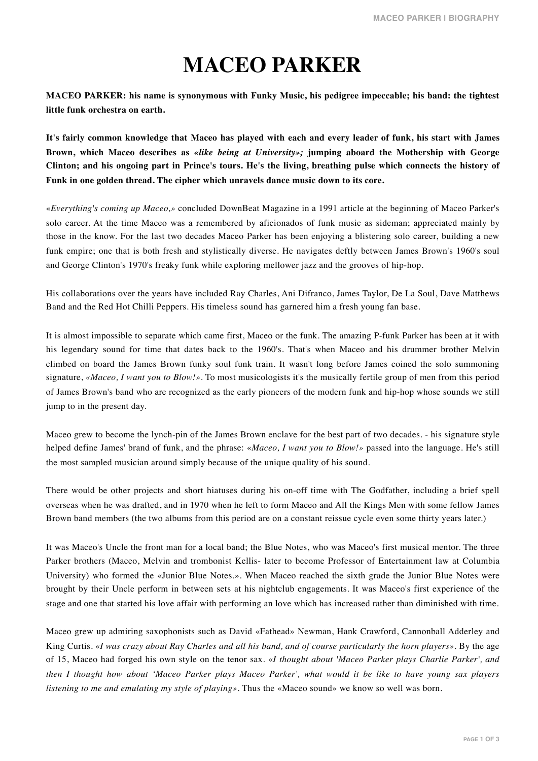## **MACEO PARKER**

**MACEO PARKER: his name is synonymous with Funky Music, his pedigree impeccable; his band: the tightest little funk orchestra on earth.**

**It's fairly common knowledge that Maceo has played with each and every leader of funk, his start with James Brown, which Maceo describes as** *«like being at University»;* **jumping aboard the Mothership with George Clinton; and his ongoing part in Prince's tours. He's the living, breathing pulse which connects the history of Funk in one golden thread. The cipher which unravels dance music down to its core.**

«*Everything's coming up Maceo,»* concluded DownBeat Magazine in a 1991 article at the beginning of Maceo Parker's solo career. At the time Maceo was a remembered by aficionados of funk music as sideman; appreciated mainly by those in the know. For the last two decades Maceo Parker has been enjoying a blistering solo career, building a new funk empire; one that is both fresh and stylistically diverse. He navigates deftly between James Brown's 1960's soul and George Clinton's 1970's freaky funk while exploring mellower jazz and the grooves of hip-hop.

His collaborations over the years have included Ray Charles, Ani Difranco, James Taylor, De La Soul, Dave Matthews Band and the Red Hot Chilli Peppers. His timeless sound has garnered him a fresh young fan base.

It is almost impossible to separate which came first, Maceo or the funk. The amazing P-funk Parker has been at it with his legendary sound for time that dates back to the 1960's. That's when Maceo and his drummer brother Melvin climbed on board the James Brown funky soul funk train. It wasn't long before James coined the solo summoning signature, *«Maceo, I want you to Blow!»*. To most musicologists it's the musically fertile group of men from this period of James Brown's band who are recognized as the early pioneers of the modern funk and hip-hop whose sounds we still jump to in the present day.

Maceo grew to become the lynch-pin of the James Brown enclave for the best part of two decades. - his signature style helped define James' brand of funk, and the phrase: «*Maceo, I want you to Blow!»* passed into the language. He's still the most sampled musician around simply because of the unique quality of his sound.

There would be other projects and short hiatuses during his on-off time with The Godfather, including a brief spell overseas when he was drafted, and in 1970 when he left to form Maceo and All the Kings Men with some fellow James Brown band members (the two albums from this period are on a constant reissue cycle even some thirty years later.)

It was Maceo's Uncle the front man for a local band; the Blue Notes, who was Maceo's first musical mentor. The three Parker brothers (Maceo, Melvin and trombonist Kellis- later to become Professor of Entertainment law at Columbia University) who formed the «Junior Blue Notes.». When Maceo reached the sixth grade the Junior Blue Notes were brought by their Uncle perform in between sets at his nightclub engagements. It was Maceo's first experience of the stage and one that started his love affair with performing an love which has increased rather than diminished with time.

Maceo grew up admiring saxophonists such as David «Fathead» Newman, Hank Crawford, Cannonball Adderley and King Curtis. «*I was crazy about Ray Charles and all his band, and of course particularly the horn players»*. By the age of 15, Maceo had forged his own style on the tenor sax. «*I thought about 'Maceo Parker plays Charlie Parker', and then I thought how about 'Maceo Parker plays Maceo Parker', what would it be like to have young sax players listening to me and emulating my style of playing»*. Thus the «Maceo sound» we know so well was born.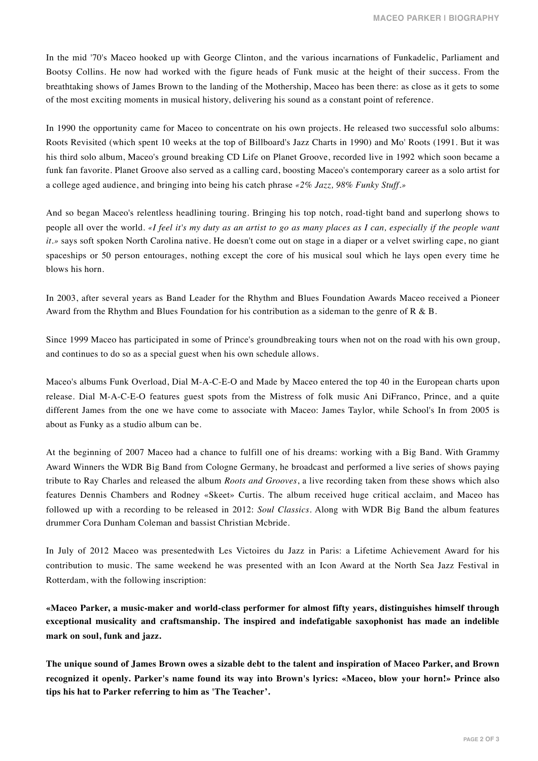In the mid '70's Maceo hooked up with George Clinton, and the various incarnations of Funkadelic, Parliament and Bootsy Collins. He now had worked with the figure heads of Funk music at the height of their success. From the breathtaking shows of James Brown to the landing of the Mothership, Maceo has been there: as close as it gets to some of the most exciting moments in musical history, delivering his sound as a constant point of reference.

In 1990 the opportunity came for Maceo to concentrate on his own projects. He released two successful solo albums: Roots Revisited (which spent 10 weeks at the top of Billboard's Jazz Charts in 1990) and Mo' Roots (1991. But it was his third solo album, Maceo's ground breaking CD Life on Planet Groove, recorded live in 1992 which soon became a funk fan favorite. Planet Groove also served as a calling card, boosting Maceo's contemporary career as a solo artist for a college aged audience, and bringing into being his catch phrase *«2% Jazz, 98% Funky Stuff.»*

And so began Maceo's relentless headlining touring. Bringing his top notch, road-tight band and superlong shows to people all over the world. *«I feel it's my duty as an artist to go as many places as I can, especially if the people want it.»* says soft spoken North Carolina native. He doesn't come out on stage in a diaper or a velvet swirling cape, no giant spaceships or 50 person entourages, nothing except the core of his musical soul which he lays open every time he blows his horn.

In 2003, after several years as Band Leader for the Rhythm and Blues Foundation Awards Maceo received a Pioneer Award from the Rhythm and Blues Foundation for his contribution as a sideman to the genre of R & B.

Since 1999 Maceo has participated in some of Prince's groundbreaking tours when not on the road with his own group, and continues to do so as a special guest when his own schedule allows.

Maceo's albums Funk Overload, Dial M-A-C-E-O and Made by Maceo entered the top 40 in the European charts upon release. Dial M-A-C-E-O features guest spots from the Mistress of folk music Ani DiFranco, Prince, and a quite different James from the one we have come to associate with Maceo: James Taylor, while School's In from 2005 is about as Funky as a studio album can be.

At the beginning of 2007 Maceo had a chance to fulfill one of his dreams: working with a Big Band. With Grammy Award Winners the WDR Big Band from Cologne Germany, he broadcast and performed a live series of shows paying tribute to Ray Charles and released the album *Roots and Grooves*, a live recording taken from these shows which also features Dennis Chambers and Rodney «Skeet» Curtis. The album received huge critical acclaim, and Maceo has followed up with a recording to be released in 2012: *Soul Classics*. Along with WDR Big Band the album features drummer Cora Dunham Coleman and bassist Christian Mcbride.

In July of 2012 Maceo was presentedwith Les Victoires du Jazz in Paris: a Lifetime Achievement Award for his contribution to music. The same weekend he was presented with an Icon Award at the North Sea Jazz Festival in Rotterdam, with the following inscription:

**«Maceo Parker, a music-maker and world-class performer for almost fifty years, distinguishes himself through exceptional musicality and craftsmanship. The inspired and indefatigable saxophonist has made an indelible mark on soul, funk and jazz.**

**The unique sound of James Brown owes a sizable debt to the talent and inspiration of Maceo Parker, and Brown recognized it openly. Parker's name found its way into Brown's lyrics: «Maceo, blow your horn!» Prince also tips his hat to Parker referring to him as 'The Teacher'.**